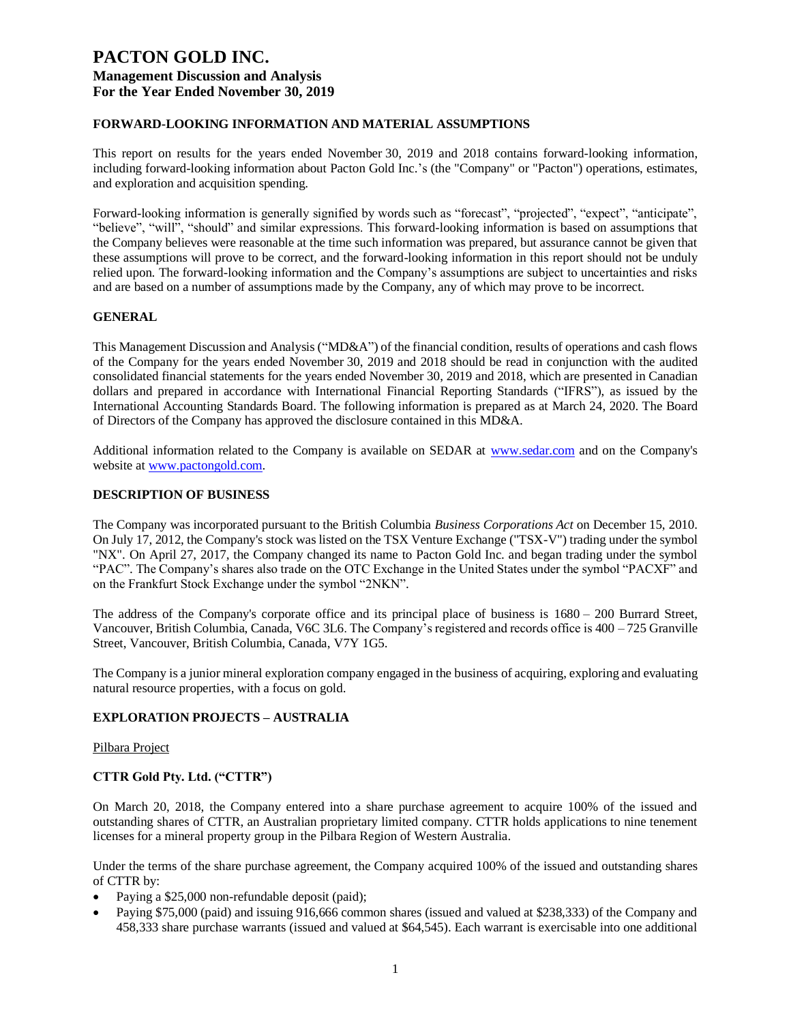# **FORWARD-LOOKING INFORMATION AND MATERIAL ASSUMPTIONS**

This report on results for the years ended November 30, 2019 and 2018 contains forward-looking information, including forward-looking information about Pacton Gold Inc.'s (the "Company" or "Pacton") operations, estimates, and exploration and acquisition spending.

Forward-looking information is generally signified by words such as "forecast", "projected", "expect", "anticipate", "believe", "will", "should" and similar expressions. This forward-looking information is based on assumptions that the Company believes were reasonable at the time such information was prepared, but assurance cannot be given that these assumptions will prove to be correct, and the forward-looking information in this report should not be unduly relied upon. The forward-looking information and the Company's assumptions are subject to uncertainties and risks and are based on a number of assumptions made by the Company, any of which may prove to be incorrect.

# **GENERAL**

This Management Discussion and Analysis ("MD&A") of the financial condition, results of operations and cash flows of the Company for the years ended November 30, 2019 and 2018 should be read in conjunction with the audited consolidated financial statements for the years ended November 30, 2019 and 2018, which are presented in Canadian dollars and prepared in accordance with International Financial Reporting Standards ("IFRS"), as issued by the International Accounting Standards Board. The following information is prepared as at March 24, 2020. The Board of Directors of the Company has approved the disclosure contained in this MD&A.

Additional information related to the Company is available on SEDAR at [www.sedar.com](http://www.sedar.com/) and on the Company's website at [www.pactongold.com.](http://www.pactongold.com/)

#### **DESCRIPTION OF BUSINESS**

The Company was incorporated pursuant to the British Columbia *Business Corporations Act* on December 15, 2010. On July 17, 2012, the Company's stock was listed on the TSX Venture Exchange ("TSX-V") trading under the symbol "NX". On April 27, 2017, the Company changed its name to Pacton Gold Inc. and began trading under the symbol "PAC". The Company's shares also trade on the OTC Exchange in the United States under the symbol "PACXF" and on the Frankfurt Stock Exchange under the symbol "2NKN".

The address of the Company's corporate office and its principal place of business is 1680 – 200 Burrard Street, Vancouver, British Columbia, Canada, V6C 3L6. The Company's registered and records office is 400 – 725 Granville Street, Vancouver, British Columbia, Canada, V7Y 1G5.

The Company is a junior mineral exploration company engaged in the business of acquiring, exploring and evaluating natural resource properties, with a focus on gold.

# **EXPLORATION PROJECTS – AUSTRALIA**

#### Pilbara Project

# **CTTR Gold Pty. Ltd. ("CTTR")**

On March 20, 2018, the Company entered into a share purchase agreement to acquire 100% of the issued and outstanding shares of CTTR, an Australian proprietary limited company. CTTR holds applications to nine tenement licenses for a mineral property group in the Pilbara Region of Western Australia.

Under the terms of the share purchase agreement, the Company acquired 100% of the issued and outstanding shares of CTTR by:

- Paying a \$25,000 non-refundable deposit (paid);
- Paying \$75,000 (paid) and issuing 916,666 common shares (issued and valued at \$238,333) of the Company and 458,333 share purchase warrants (issued and valued at \$64,545). Each warrant is exercisable into one additional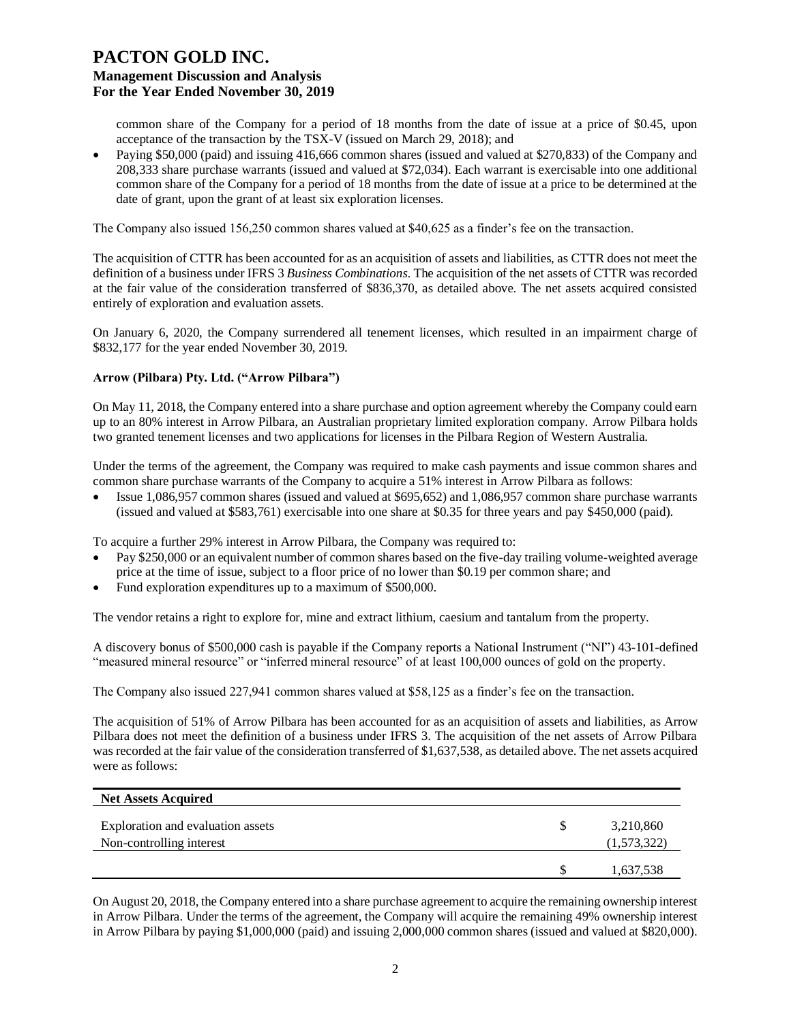common share of the Company for a period of 18 months from the date of issue at a price of \$0.45, upon acceptance of the transaction by the TSX-V (issued on March 29, 2018); and

• Paying \$50,000 (paid) and issuing 416,666 common shares (issued and valued at \$270,833) of the Company and 208,333 share purchase warrants (issued and valued at \$72,034). Each warrant is exercisable into one additional common share of the Company for a period of 18 months from the date of issue at a price to be determined at the date of grant, upon the grant of at least six exploration licenses.

The Company also issued 156,250 common shares valued at \$40,625 as a finder's fee on the transaction.

The acquisition of CTTR has been accounted for as an acquisition of assets and liabilities, as CTTR does not meet the definition of a business under IFRS 3 *Business Combinations*. The acquisition of the net assets of CTTR was recorded at the fair value of the consideration transferred of \$836,370, as detailed above. The net assets acquired consisted entirely of exploration and evaluation assets.

On January 6, 2020, the Company surrendered all tenement licenses, which resulted in an impairment charge of \$832,177 for the year ended November 30, 2019.

# **Arrow (Pilbara) Pty. Ltd. ("Arrow Pilbara")**

On May 11, 2018, the Company entered into a share purchase and option agreement whereby the Company could earn up to an 80% interest in Arrow Pilbara, an Australian proprietary limited exploration company. Arrow Pilbara holds two granted tenement licenses and two applications for licenses in the Pilbara Region of Western Australia.

Under the terms of the agreement, the Company was required to make cash payments and issue common shares and common share purchase warrants of the Company to acquire a 51% interest in Arrow Pilbara as follows:

• Issue 1,086,957 common shares (issued and valued at \$695,652) and 1,086,957 common share purchase warrants (issued and valued at \$583,761) exercisable into one share at \$0.35 for three years and pay \$450,000 (paid).

To acquire a further 29% interest in Arrow Pilbara, the Company was required to:

- Pay \$250,000 or an equivalent number of common shares based on the five-day trailing volume-weighted average price at the time of issue, subject to a floor price of no lower than \$0.19 per common share; and
- Fund exploration expenditures up to a maximum of \$500,000.

The vendor retains a right to explore for, mine and extract lithium, caesium and tantalum from the property.

A discovery bonus of \$500,000 cash is payable if the Company reports a National Instrument ("NI") 43-101-defined "measured mineral resource" or "inferred mineral resource" of at least 100,000 ounces of gold on the property.

The Company also issued 227,941 common shares valued at \$58,125 as a finder's fee on the transaction.

The acquisition of 51% of Arrow Pilbara has been accounted for as an acquisition of assets and liabilities, as Arrow Pilbara does not meet the definition of a business under IFRS 3. The acquisition of the net assets of Arrow Pilbara was recorded at the fair value of the consideration transferred of \$1,637,538, as detailed above. The net assets acquired were as follows:

| <b>Net Assets Acquired</b>                                    |                          |
|---------------------------------------------------------------|--------------------------|
| Exploration and evaluation assets<br>Non-controlling interest | 3,210,860<br>(1,573,322) |
|                                                               | 1,637,538                |

On August 20, 2018, the Company entered into a share purchase agreement to acquire the remaining ownership interest in Arrow Pilbara. Under the terms of the agreement, the Company will acquire the remaining 49% ownership interest in Arrow Pilbara by paying \$1,000,000 (paid) and issuing 2,000,000 common shares (issued and valued at \$820,000).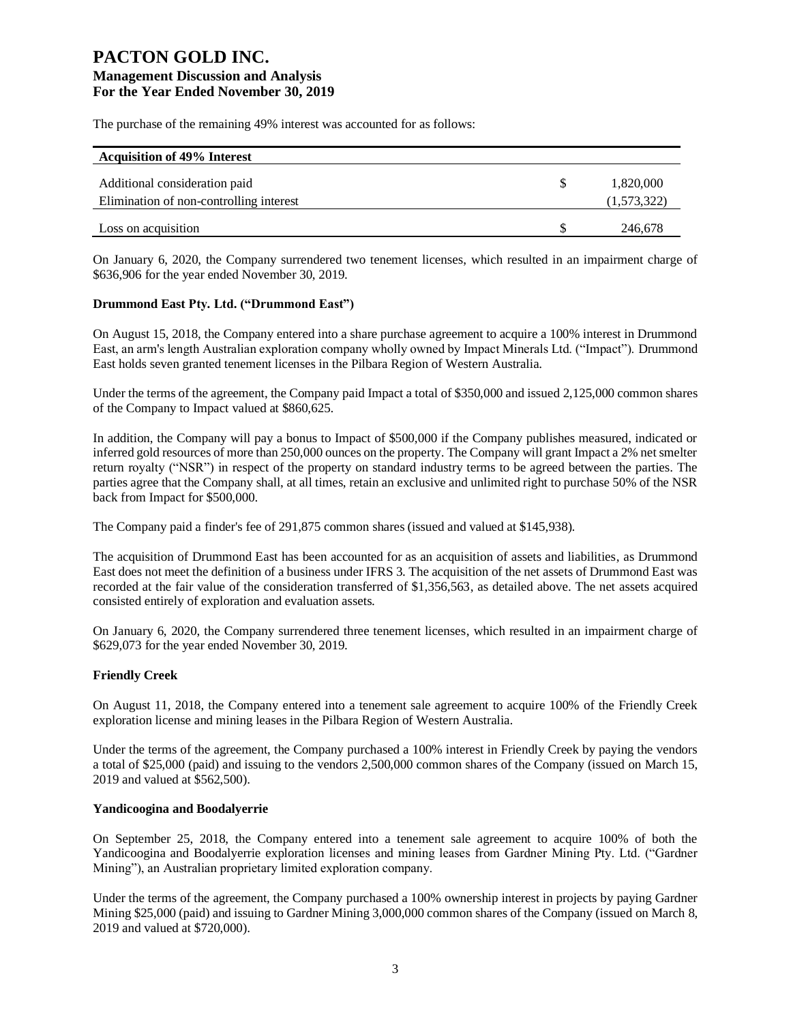The purchase of the remaining 49% interest was accounted for as follows:

| <b>Acquisition of 49% Interest</b>                                       |                          |
|--------------------------------------------------------------------------|--------------------------|
| Additional consideration paid<br>Elimination of non-controlling interest | 1,820,000<br>(1,573,322) |
| Loss on acquisition                                                      | 246,678                  |

On January 6, 2020, the Company surrendered two tenement licenses, which resulted in an impairment charge of \$636,906 for the year ended November 30, 2019.

# **Drummond East Pty. Ltd. ("Drummond East")**

On August 15, 2018, the Company entered into a share purchase agreement to acquire a 100% interest in Drummond East, an arm's length Australian exploration company wholly owned by Impact Minerals Ltd. ("Impact"). Drummond East holds seven granted tenement licenses in the Pilbara Region of Western Australia.

Under the terms of the agreement, the Company paid Impact a total of \$350,000 and issued 2,125,000 common shares of the Company to Impact valued at \$860,625.

In addition, the Company will pay a bonus to Impact of \$500,000 if the Company publishes measured, indicated or inferred gold resources of more than 250,000 ounces on the property. The Company will grant Impact a 2% net smelter return royalty ("NSR") in respect of the property on standard industry terms to be agreed between the parties. The parties agree that the Company shall, at all times, retain an exclusive and unlimited right to purchase 50% of the NSR back from Impact for \$500,000.

The Company paid a finder's fee of 291,875 common shares (issued and valued at \$145,938).

The acquisition of Drummond East has been accounted for as an acquisition of assets and liabilities, as Drummond East does not meet the definition of a business under IFRS 3. The acquisition of the net assets of Drummond East was recorded at the fair value of the consideration transferred of \$1,356,563, as detailed above. The net assets acquired consisted entirely of exploration and evaluation assets.

On January 6, 2020, the Company surrendered three tenement licenses, which resulted in an impairment charge of \$629,073 for the year ended November 30, 2019.

# **Friendly Creek**

On August 11, 2018, the Company entered into a tenement sale agreement to acquire 100% of the Friendly Creek exploration license and mining leases in the Pilbara Region of Western Australia.

Under the terms of the agreement, the Company purchased a 100% interest in Friendly Creek by paying the vendors a total of \$25,000 (paid) and issuing to the vendors 2,500,000 common shares of the Company (issued on March 15, 2019 and valued at \$562,500).

#### **Yandicoogina and Boodalyerrie**

On September 25, 2018, the Company entered into a tenement sale agreement to acquire 100% of both the Yandicoogina and Boodalyerrie exploration licenses and mining leases from Gardner Mining Pty. Ltd. ("Gardner Mining"), an Australian proprietary limited exploration company.

Under the terms of the agreement, the Company purchased a 100% ownership interest in projects by paying Gardner Mining \$25,000 (paid) and issuing to Gardner Mining 3,000,000 common shares of the Company (issued on March 8, 2019 and valued at \$720,000).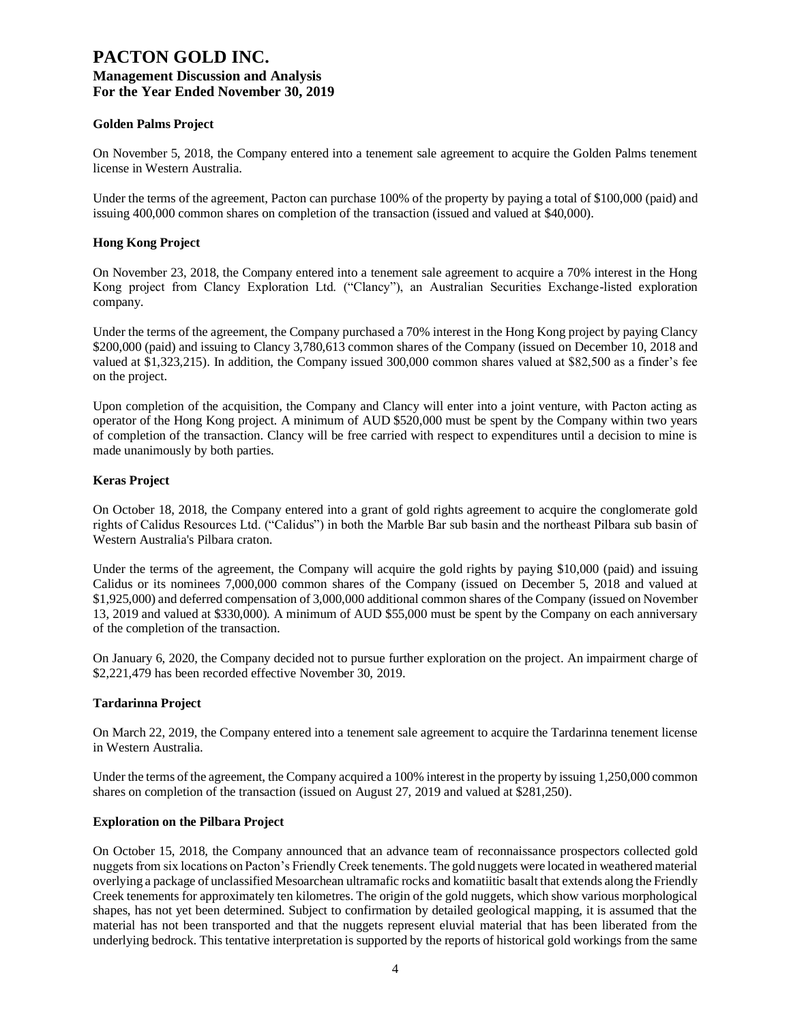#### **Golden Palms Project**

On November 5, 2018, the Company entered into a tenement sale agreement to acquire the Golden Palms tenement license in Western Australia.

Under the terms of the agreement, Pacton can purchase 100% of the property by paying a total of \$100,000 (paid) and issuing 400,000 common shares on completion of the transaction (issued and valued at \$40,000).

#### **Hong Kong Project**

On November 23, 2018, the Company entered into a tenement sale agreement to acquire a 70% interest in the Hong Kong project from Clancy Exploration Ltd. ("Clancy"), an Australian Securities Exchange-listed exploration company.

Under the terms of the agreement, the Company purchased a 70% interest in the Hong Kong project by paying Clancy \$200,000 (paid) and issuing to Clancy 3,780,613 common shares of the Company (issued on December 10, 2018 and valued at \$1,323,215). In addition, the Company issued 300,000 common shares valued at \$82,500 as a finder's fee on the project.

Upon completion of the acquisition, the Company and Clancy will enter into a joint venture, with Pacton acting as operator of the Hong Kong project. A minimum of AUD \$520,000 must be spent by the Company within two years of completion of the transaction. Clancy will be free carried with respect to expenditures until a decision to mine is made unanimously by both parties.

#### **Keras Project**

On October 18, 2018, the Company entered into a grant of gold rights agreement to acquire the conglomerate gold rights of Calidus Resources Ltd. ("Calidus") in both the Marble Bar sub basin and the northeast Pilbara sub basin of Western Australia's Pilbara craton.

Under the terms of the agreement, the Company will acquire the gold rights by paying \$10,000 (paid) and issuing Calidus or its nominees 7,000,000 common shares of the Company (issued on December 5, 2018 and valued at \$1,925,000) and deferred compensation of 3,000,000 additional common shares of the Company (issued on November 13, 2019 and valued at \$330,000). A minimum of AUD \$55,000 must be spent by the Company on each anniversary of the completion of the transaction.

On January 6, 2020, the Company decided not to pursue further exploration on the project. An impairment charge of \$2,221,479 has been recorded effective November 30, 2019.

#### **Tardarinna Project**

On March 22, 2019, the Company entered into a tenement sale agreement to acquire the Tardarinna tenement license in Western Australia.

Under the terms of the agreement, the Company acquired a 100% interest in the property by issuing 1,250,000 common shares on completion of the transaction (issued on August 27, 2019 and valued at \$281,250).

#### **Exploration on the Pilbara Project**

On October 15, 2018, the Company announced that an advance team of reconnaissance prospectors collected gold nuggets from six locations on Pacton's Friendly Creek tenements. The gold nuggets were located in weathered material overlying a package of unclassified Mesoarchean ultramafic rocks and komatiitic basalt that extends along the Friendly Creek tenements for approximately ten kilometres. The origin of the gold nuggets, which show various morphological shapes, has not yet been determined. Subject to confirmation by detailed geological mapping, it is assumed that the material has not been transported and that the nuggets represent eluvial material that has been liberated from the underlying bedrock. This tentative interpretation is supported by the reports of historical gold workings from the same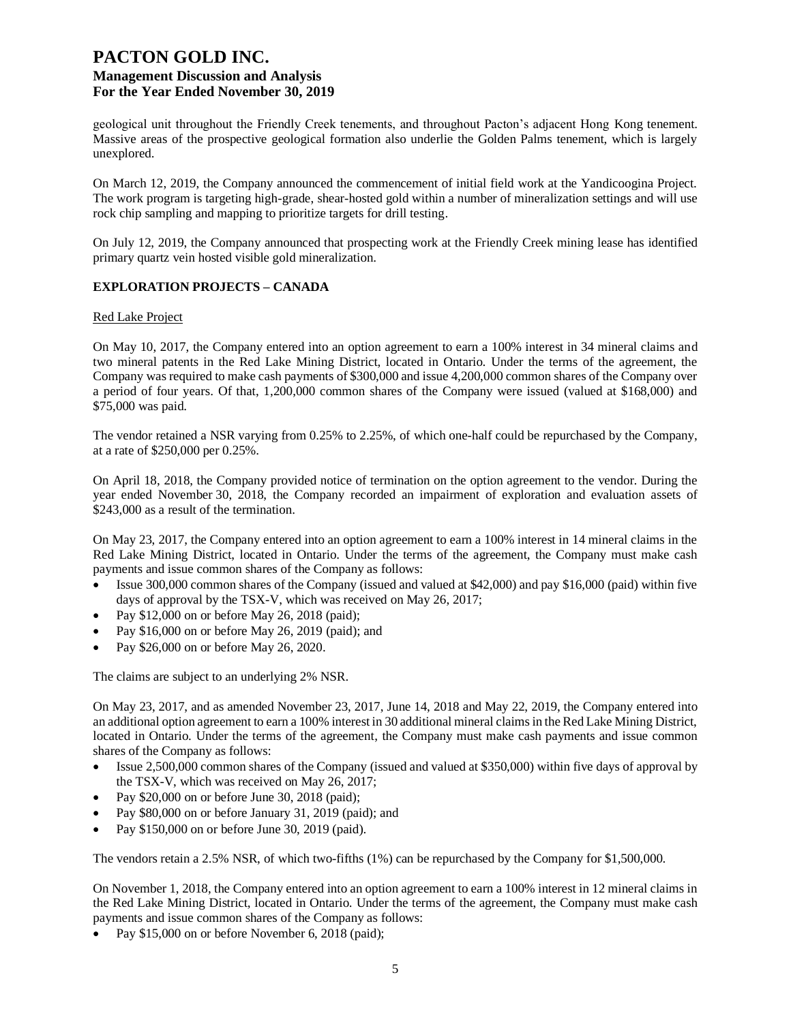geological unit throughout the Friendly Creek tenements, and throughout Pacton's adjacent Hong Kong tenement. Massive areas of the prospective geological formation also underlie the Golden Palms tenement, which is largely unexplored.

On March 12, 2019, the Company announced the commencement of initial field work at the Yandicoogina Project. The work program is targeting high-grade, shear-hosted gold within a number of mineralization settings and will use rock chip sampling and mapping to prioritize targets for drill testing.

On July 12, 2019, the Company announced that prospecting work at the Friendly Creek mining lease has identified primary quartz vein hosted visible gold mineralization.

# **EXPLORATION PROJECTS – CANADA**

#### Red Lake Project

On May 10, 2017, the Company entered into an option agreement to earn a 100% interest in 34 mineral claims and two mineral patents in the Red Lake Mining District, located in Ontario. Under the terms of the agreement, the Company was required to make cash payments of \$300,000 and issue 4,200,000 common shares of the Company over a period of four years. Of that, 1,200,000 common shares of the Company were issued (valued at \$168,000) and \$75,000 was paid.

The vendor retained a NSR varying from 0.25% to 2.25%, of which one-half could be repurchased by the Company, at a rate of \$250,000 per 0.25%.

On April 18, 2018, the Company provided notice of termination on the option agreement to the vendor. During the year ended November 30, 2018, the Company recorded an impairment of exploration and evaluation assets of \$243,000 as a result of the termination.

On May 23, 2017, the Company entered into an option agreement to earn a 100% interest in 14 mineral claims in the Red Lake Mining District, located in Ontario. Under the terms of the agreement, the Company must make cash payments and issue common shares of the Company as follows:

- Issue 300,000 common shares of the Company (issued and valued at \$42,000) and pay \$16,000 (paid) within five days of approval by the TSX-V, which was received on May 26, 2017;
- Pay \$12,000 on or before May 26, 2018 (paid);
- Pay \$16,000 on or before May 26, 2019 (paid); and
- Pay \$26,000 on or before May 26, 2020.

The claims are subject to an underlying 2% NSR.

On May 23, 2017, and as amended November 23, 2017, June 14, 2018 and May 22, 2019, the Company entered into an additional option agreement to earn a 100% interest in 30 additional mineral claims in the Red Lake Mining District, located in Ontario. Under the terms of the agreement, the Company must make cash payments and issue common shares of the Company as follows:

- Issue 2,500,000 common shares of the Company (issued and valued at \$350,000) within five days of approval by the TSX-V, which was received on May 26, 2017;
- Pay \$20,000 on or before June 30, 2018 (paid);
- Pay \$80,000 on or before January 31, 2019 (paid); and
- Pay \$150,000 on or before June 30, 2019 (paid).

The vendors retain a 2.5% NSR, of which two-fifths (1%) can be repurchased by the Company for \$1,500,000.

On November 1, 2018, the Company entered into an option agreement to earn a 100% interest in 12 mineral claims in the Red Lake Mining District, located in Ontario. Under the terms of the agreement, the Company must make cash payments and issue common shares of the Company as follows:

Pay \$15,000 on or before November 6, 2018 (paid);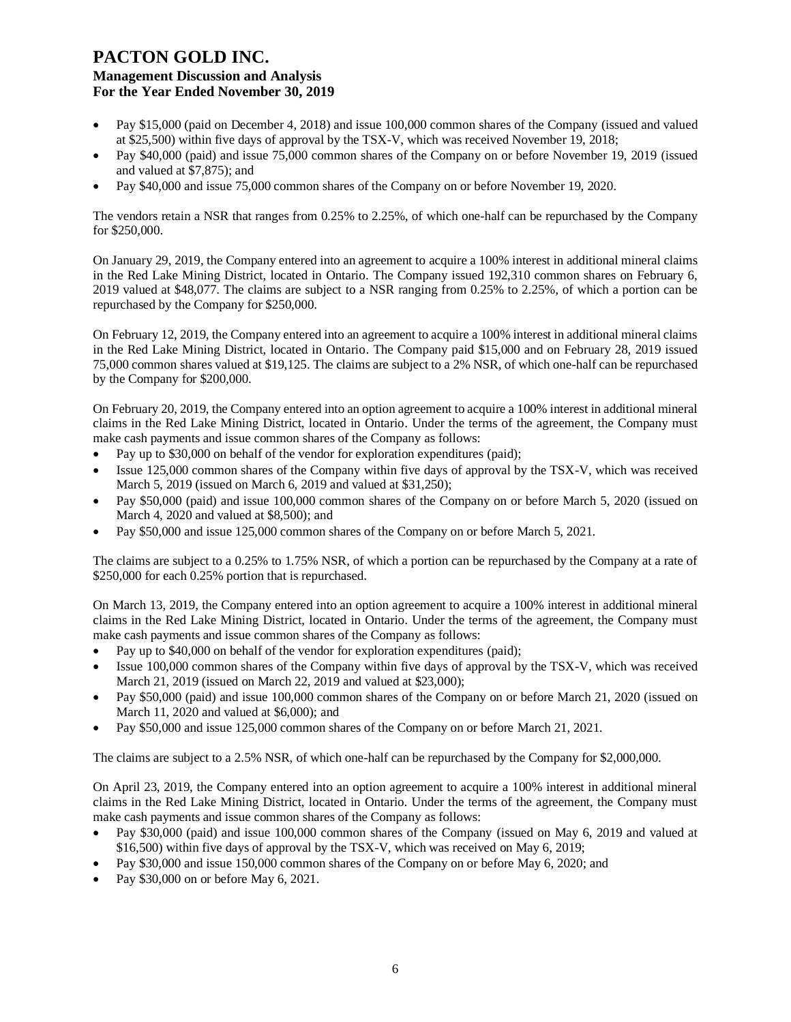- Pay \$15,000 (paid on December 4, 2018) and issue 100,000 common shares of the Company (issued and valued at \$25,500) within five days of approval by the TSX-V, which was received November 19, 2018;
- Pay \$40,000 (paid) and issue 75,000 common shares of the Company on or before November 19, 2019 (issued and valued at \$7,875); and
- Pay \$40,000 and issue 75,000 common shares of the Company on or before November 19, 2020.

The vendors retain a NSR that ranges from 0.25% to 2.25%, of which one-half can be repurchased by the Company for \$250,000.

On January 29, 2019, the Company entered into an agreement to acquire a 100% interest in additional mineral claims in the Red Lake Mining District, located in Ontario. The Company issued 192,310 common shares on February 6, 2019 valued at \$48,077. The claims are subject to a NSR ranging from 0.25% to 2.25%, of which a portion can be repurchased by the Company for \$250,000.

On February 12, 2019, the Company entered into an agreement to acquire a 100% interest in additional mineral claims in the Red Lake Mining District, located in Ontario. The Company paid \$15,000 and on February 28, 2019 issued 75,000 common shares valued at \$19,125. The claims are subject to a 2% NSR, of which one-half can be repurchased by the Company for \$200,000.

On February 20, 2019, the Company entered into an option agreement to acquire a 100% interest in additional mineral claims in the Red Lake Mining District, located in Ontario. Under the terms of the agreement, the Company must make cash payments and issue common shares of the Company as follows:

- Pay up to \$30,000 on behalf of the vendor for exploration expenditures (paid);
- Issue 125,000 common shares of the Company within five days of approval by the TSX-V, which was received March 5, 2019 (issued on March 6, 2019 and valued at \$31,250);
- Pay \$50,000 (paid) and issue 100,000 common shares of the Company on or before March 5, 2020 (issued on March 4, 2020 and valued at \$8,500); and
- Pay \$50,000 and issue 125,000 common shares of the Company on or before March 5, 2021.

The claims are subject to a 0.25% to 1.75% NSR, of which a portion can be repurchased by the Company at a rate of \$250,000 for each 0.25% portion that is repurchased.

On March 13, 2019, the Company entered into an option agreement to acquire a 100% interest in additional mineral claims in the Red Lake Mining District, located in Ontario. Under the terms of the agreement, the Company must make cash payments and issue common shares of the Company as follows:

- Pay up to \$40,000 on behalf of the vendor for exploration expenditures (paid);
- Issue 100,000 common shares of the Company within five days of approval by the TSX-V, which was received March 21, 2019 (issued on March 22, 2019 and valued at \$23,000);
- Pay \$50,000 (paid) and issue 100,000 common shares of the Company on or before March 21, 2020 (issued on March 11, 2020 and valued at \$6,000); and
- Pay \$50,000 and issue 125,000 common shares of the Company on or before March 21, 2021.

The claims are subject to a 2.5% NSR, of which one-half can be repurchased by the Company for \$2,000,000.

On April 23, 2019, the Company entered into an option agreement to acquire a 100% interest in additional mineral claims in the Red Lake Mining District, located in Ontario. Under the terms of the agreement, the Company must make cash payments and issue common shares of the Company as follows:

- Pay \$30,000 (paid) and issue 100,000 common shares of the Company (issued on May 6, 2019 and valued at \$16,500) within five days of approval by the TSX-V, which was received on May 6, 2019;
- Pay \$30,000 and issue 150,000 common shares of the Company on or before May 6, 2020; and
- Pay \$30,000 on or before May 6, 2021.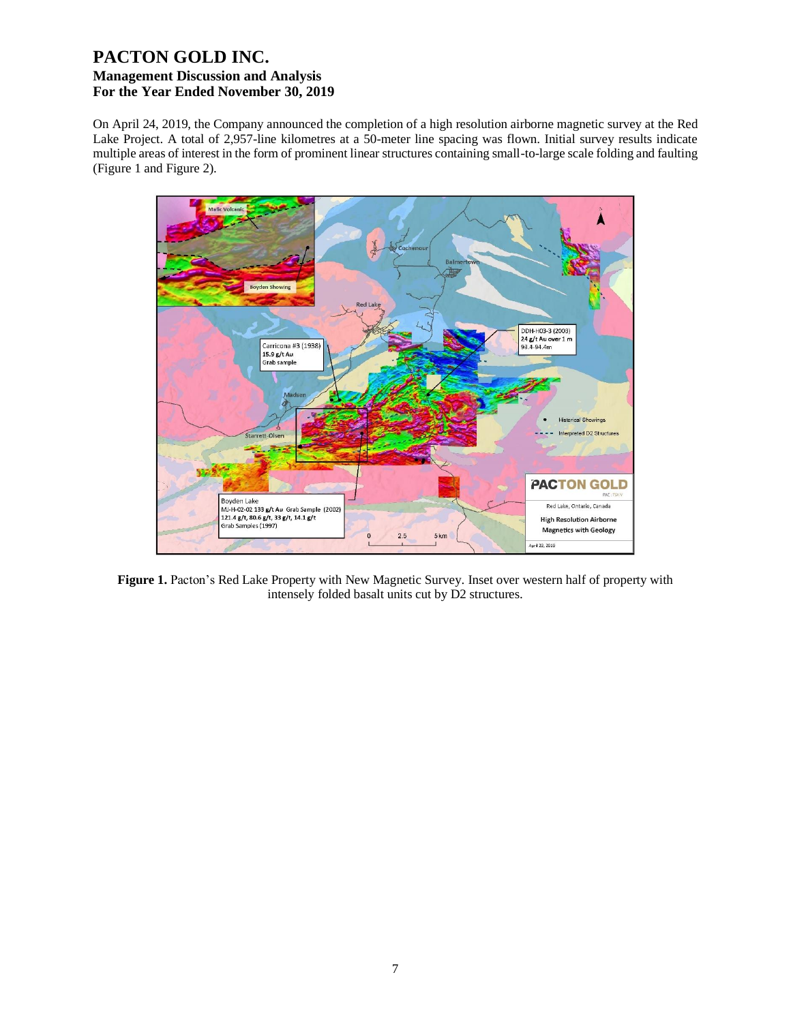On April 24, 2019, the Company announced the completion of a high resolution airborne magnetic survey at the Red Lake Project. A total of 2,957-line kilometres at a 50-meter line spacing was flown. Initial survey results indicate multiple areas of interest in the form of prominent linear structures containing small-to-large scale folding and faulting (Figure 1 and Figure 2).



**Figure 1.** Pacton's Red Lake Property with New Magnetic Survey. Inset over western half of property with intensely folded basalt units cut by D2 structures.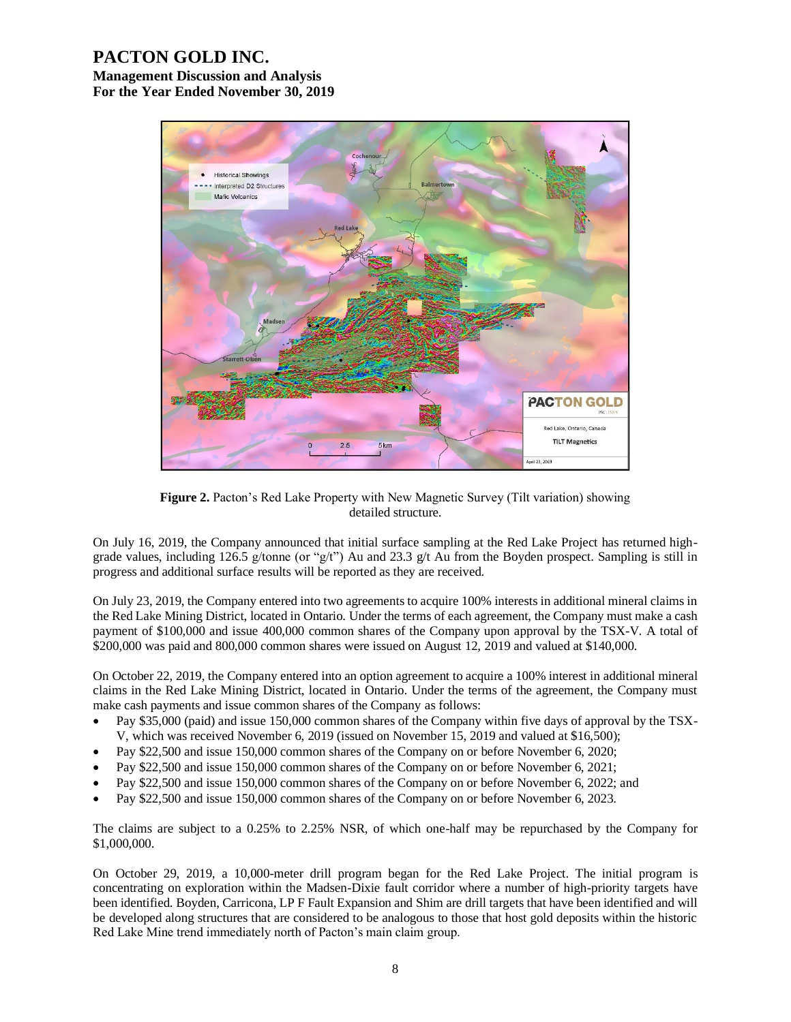# **PACTON GOLD INC.**

**Management Discussion and Analysis For the Year Ended November 30, 2019**



**Figure 2.** Pacton's Red Lake Property with New Magnetic Survey (Tilt variation) showing detailed structure.

On July 16, 2019, the Company announced that initial surface sampling at the Red Lake Project has returned highgrade values, including 126.5 g/tonne (or "g/t") Au and 23.3 g/t Au from the Boyden prospect. Sampling is still in progress and additional surface results will be reported as they are received.

On July 23, 2019, the Company entered into two agreements to acquire 100% interests in additional mineral claims in the Red Lake Mining District, located in Ontario. Under the terms of each agreement, the Company must make a cash payment of \$100,000 and issue 400,000 common shares of the Company upon approval by the TSX-V. A total of \$200,000 was paid and 800,000 common shares were issued on August 12, 2019 and valued at \$140,000.

On October 22, 2019, the Company entered into an option agreement to acquire a 100% interest in additional mineral claims in the Red Lake Mining District, located in Ontario. Under the terms of the agreement, the Company must make cash payments and issue common shares of the Company as follows:

- Pay \$35,000 (paid) and issue 150,000 common shares of the Company within five days of approval by the TSX-V, which was received November 6, 2019 (issued on November 15, 2019 and valued at \$16,500);
- Pay \$22,500 and issue 150,000 common shares of the Company on or before November 6, 2020;
- Pay \$22,500 and issue 150,000 common shares of the Company on or before November 6, 2021;
- Pay \$22,500 and issue 150,000 common shares of the Company on or before November 6, 2022; and
- Pay \$22,500 and issue 150,000 common shares of the Company on or before November 6, 2023.

The claims are subject to a 0.25% to 2.25% NSR, of which one-half may be repurchased by the Company for \$1,000,000.

On October 29, 2019, a 10,000-meter drill program began for the Red Lake Project. The initial program is concentrating on exploration within the Madsen-Dixie fault corridor where a number of high-priority targets have been identified. Boyden, Carricona, LP F Fault Expansion and Shim are drill targets that have been identified and will be developed along structures that are considered to be analogous to those that host gold deposits within the historic Red Lake Mine trend immediately north of Pacton's main claim group.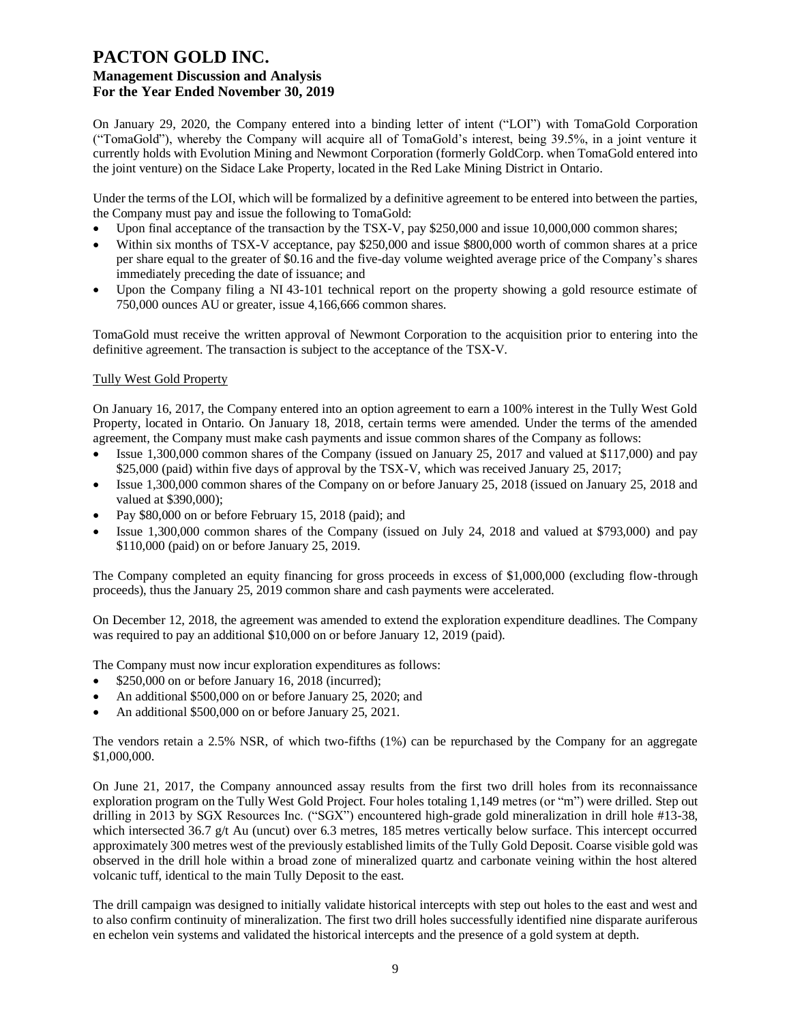On January 29, 2020, the Company entered into a binding letter of intent ("LOI") with TomaGold Corporation ("TomaGold"), whereby the Company will acquire all of TomaGold's interest, being 39.5%, in a joint venture it currently holds with Evolution Mining and Newmont Corporation (formerly GoldCorp. when TomaGold entered into the joint venture) on the Sidace Lake Property, located in the Red Lake Mining District in Ontario.

Under the terms of the LOI, which will be formalized by a definitive agreement to be entered into between the parties, the Company must pay and issue the following to TomaGold:

- Upon final acceptance of the transaction by the TSX-V, pay \$250,000 and issue 10,000,000 common shares;
- Within six months of TSX-V acceptance, pay \$250,000 and issue \$800,000 worth of common shares at a price per share equal to the greater of \$0.16 and the five-day volume weighted average price of the Company's shares immediately preceding the date of issuance; and
- Upon the Company filing a NI 43-101 technical report on the property showing a gold resource estimate of 750,000 ounces AU or greater, issue 4,166,666 common shares.

TomaGold must receive the written approval of Newmont Corporation to the acquisition prior to entering into the definitive agreement. The transaction is subject to the acceptance of the TSX-V.

# Tully West Gold Property

On January 16, 2017, the Company entered into an option agreement to earn a 100% interest in the Tully West Gold Property, located in Ontario. On January 18, 2018, certain terms were amended. Under the terms of the amended agreement, the Company must make cash payments and issue common shares of the Company as follows:

- Issue 1,300,000 common shares of the Company (issued on January 25, 2017 and valued at \$117,000) and pay \$25,000 (paid) within five days of approval by the TSX-V, which was received January 25, 2017;
- Issue 1,300,000 common shares of the Company on or before January 25, 2018 (issued on January 25, 2018 and valued at \$390,000);
- Pay \$80,000 on or before February 15, 2018 (paid); and
- Issue 1,300,000 common shares of the Company (issued on July 24, 2018 and valued at \$793,000) and pay \$110,000 (paid) on or before January 25, 2019.

The Company completed an equity financing for gross proceeds in excess of \$1,000,000 (excluding flow-through proceeds), thus the January 25, 2019 common share and cash payments were accelerated.

On December 12, 2018, the agreement was amended to extend the exploration expenditure deadlines. The Company was required to pay an additional \$10,000 on or before January 12, 2019 (paid).

The Company must now incur exploration expenditures as follows:

- \$250,000 on or before January 16, 2018 (incurred);
- An additional \$500,000 on or before January 25, 2020; and
- An additional \$500,000 on or before January 25, 2021.

The vendors retain a 2.5% NSR, of which two-fifths (1%) can be repurchased by the Company for an aggregate \$1,000,000.

On June 21, 2017, the Company announced assay results from the first two drill holes from its reconnaissance exploration program on the Tully West Gold Project. Four holes totaling 1,149 metres (or "m") were drilled. Step out drilling in 2013 by SGX Resources Inc. ("SGX") encountered high-grade gold mineralization in drill hole #13-38, which intersected 36.7 g/t Au (uncut) over 6.3 metres, 185 metres vertically below surface. This intercept occurred approximately 300 metres west of the previously established limits of the Tully Gold Deposit. Coarse visible gold was observed in the drill hole within a broad zone of mineralized quartz and carbonate veining within the host altered volcanic tuff, identical to the main Tully Deposit to the east.

The drill campaign was designed to initially validate historical intercepts with step out holes to the east and west and to also confirm continuity of mineralization. The first two drill holes successfully identified nine disparate auriferous en echelon vein systems and validated the historical intercepts and the presence of a gold system at depth.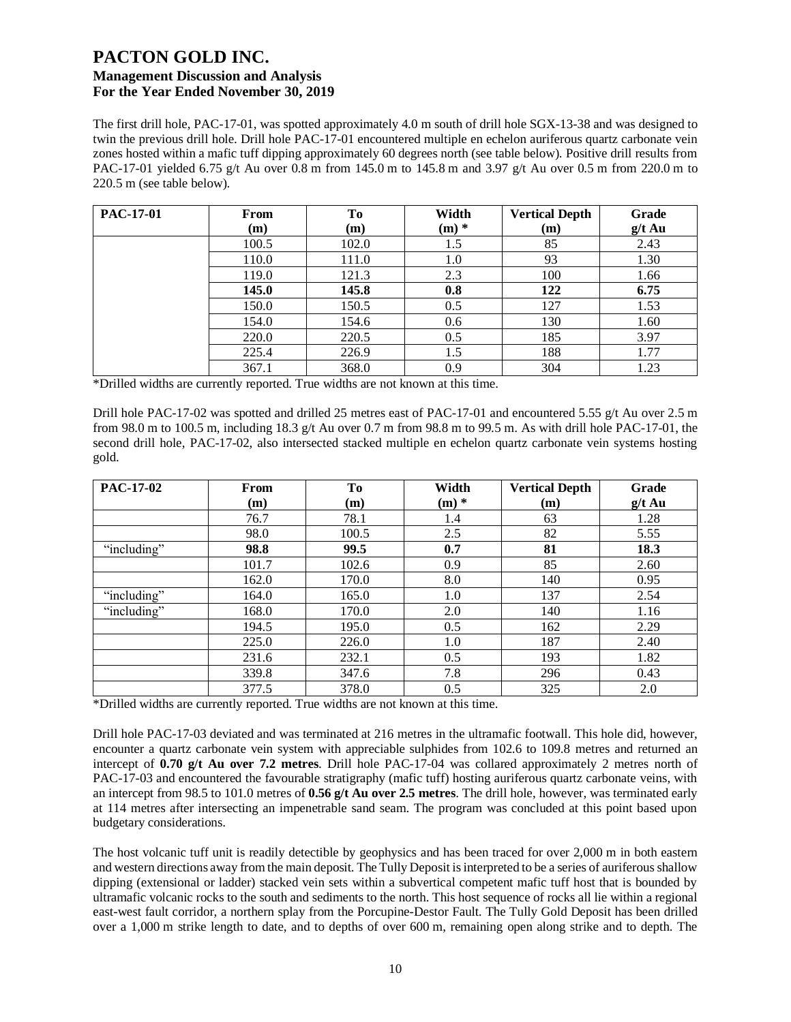The first drill hole, PAC-17-01, was spotted approximately 4.0 m south of drill hole SGX-13-38 and was designed to twin the previous drill hole. Drill hole PAC-17-01 encountered multiple en echelon auriferous quartz carbonate vein zones hosted within a mafic tuff dipping approximately 60 degrees north (see table below). Positive drill results from PAC-17-01 yielded 6.75 g/t Au over 0.8 m from 145.0 m to 145.8 m and 3.97 g/t Au over 0.5 m from 220.0 m to 220.5 m (see table below).

| <b>PAC-17-01</b> | From<br>(m) | To<br>(m) | Width<br>$(m)$ * | <b>Vertical Depth</b><br>(m) | Grade<br>$g/t$ Au |
|------------------|-------------|-----------|------------------|------------------------------|-------------------|
|                  | 100.5       | 102.0     | 1.5              | 85                           | 2.43              |
|                  | 110.0       | 111.0     | 1.0              | 93                           | 1.30              |
|                  | 119.0       | 121.3     | 2.3              | 100                          | 1.66              |
|                  | 145.0       | 145.8     | 0.8              | 122                          | 6.75              |
|                  | 150.0       | 150.5     | 0.5              | 127                          | 1.53              |
|                  | 154.0       | 154.6     | 0.6              | 130                          | 1.60              |
|                  | 220.0       | 220.5     | 0.5              | 185                          | 3.97              |
|                  | 225.4       | 226.9     | 1.5              | 188                          | 1.77              |
|                  | 367.1       | 368.0     | 0.9              | 304                          | 1.23              |

\*Drilled widths are currently reported. True widths are not known at this time.

Drill hole PAC-17-02 was spotted and drilled 25 metres east of PAC-17-01 and encountered 5.55 g/t Au over 2.5 m from 98.0 m to 100.5 m, including 18.3 g/t Au over 0.7 m from 98.8 m to 99.5 m. As with drill hole PAC-17-01, the second drill hole, PAC-17-02, also intersected stacked multiple en echelon quartz carbonate vein systems hosting gold.

| <b>PAC-17-02</b> | From  | To    | Width   | <b>Vertical Depth</b> | Grade    |
|------------------|-------|-------|---------|-----------------------|----------|
|                  | (m)   | (m)   | $(m)$ * | (m)                   | $g/t$ Au |
|                  | 76.7  | 78.1  | 1.4     | 63                    | 1.28     |
|                  | 98.0  | 100.5 | 2.5     | 82                    | 5.55     |
| "including"      | 98.8  | 99.5  | 0.7     | 81                    | 18.3     |
|                  | 101.7 | 102.6 | 0.9     | 85                    | 2.60     |
|                  | 162.0 | 170.0 | 8.0     | 140                   | 0.95     |
| "including"      | 164.0 | 165.0 | 1.0     | 137                   | 2.54     |
| "including"      | 168.0 | 170.0 | 2.0     | 140                   | 1.16     |
|                  | 194.5 | 195.0 | 0.5     | 162                   | 2.29     |
|                  | 225.0 | 226.0 | 1.0     | 187                   | 2.40     |
|                  | 231.6 | 232.1 | 0.5     | 193                   | 1.82     |
|                  | 339.8 | 347.6 | 7.8     | 296                   | 0.43     |
|                  | 377.5 | 378.0 | 0.5     | 325                   | 2.0      |

\*Drilled widths are currently reported. True widths are not known at this time.

Drill hole PAC-17-03 deviated and was terminated at 216 metres in the ultramafic footwall. This hole did, however, encounter a quartz carbonate vein system with appreciable sulphides from 102.6 to 109.8 metres and returned an intercept of **0.70 g/t Au over 7.2 metres**. Drill hole PAC-17-04 was collared approximately 2 metres north of PAC-17-03 and encountered the favourable stratigraphy (mafic tuff) hosting auriferous quartz carbonate veins, with an intercept from 98.5 to 101.0 metres of **0.56 g/t Au over 2.5 metres**. The drill hole, however, was terminated early at 114 metres after intersecting an impenetrable sand seam. The program was concluded at this point based upon budgetary considerations.

The host volcanic tuff unit is readily detectible by geophysics and has been traced for over 2,000 m in both eastern and western directions away from the main deposit. The Tully Deposit is interpreted to be a series of auriferous shallow dipping (extensional or ladder) stacked vein sets within a subvertical competent mafic tuff host that is bounded by ultramafic volcanic rocks to the south and sediments to the north. This host sequence of rocks all lie within a regional east-west fault corridor, a northern splay from the Porcupine-Destor Fault. The Tully Gold Deposit has been drilled over a 1,000 m strike length to date, and to depths of over 600 m, remaining open along strike and to depth. The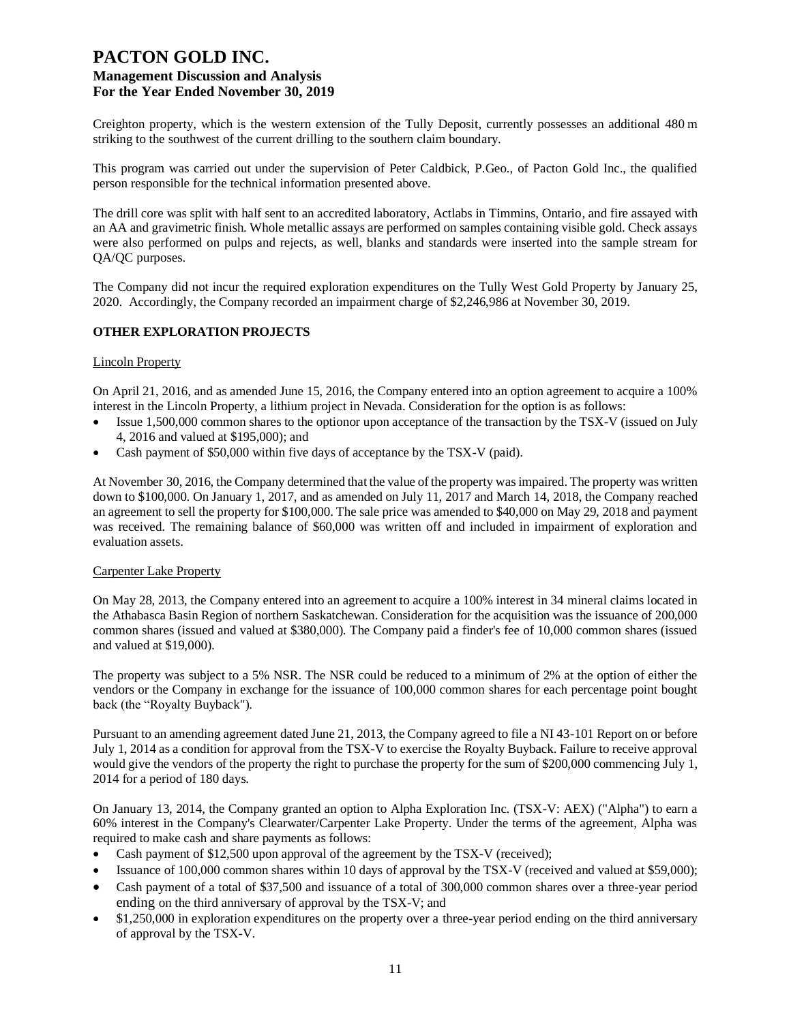Creighton property, which is the western extension of the Tully Deposit, currently possesses an additional 480 m striking to the southwest of the current drilling to the southern claim boundary.

This program was carried out under the supervision of Peter Caldbick, P.Geo., of Pacton Gold Inc., the qualified person responsible for the technical information presented above.

The drill core was split with half sent to an accredited laboratory, Actlabs in Timmins, Ontario, and fire assayed with an AA and gravimetric finish. Whole metallic assays are performed on samples containing visible gold. Check assays were also performed on pulps and rejects, as well, blanks and standards were inserted into the sample stream for QA/QC purposes.

The Company did not incur the required exploration expenditures on the Tully West Gold Property by January 25, 2020. Accordingly, the Company recorded an impairment charge of \$2,246,986 at November 30, 2019.

# **OTHER EXPLORATION PROJECTS**

#### Lincoln Property

On April 21, 2016, and as amended June 15, 2016, the Company entered into an option agreement to acquire a 100% interest in the Lincoln Property, a lithium project in Nevada. Consideration for the option is as follows:

- Issue 1,500,000 common shares to the optionor upon acceptance of the transaction by the TSX-V (issued on July 4, 2016 and valued at \$195,000); and
- Cash payment of \$50,000 within five days of acceptance by the TSX-V (paid).

At November 30, 2016, the Company determined that the value of the property was impaired. The property was written down to \$100,000. On January 1, 2017, and as amended on July 11, 2017 and March 14, 2018, the Company reached an agreement to sell the property for \$100,000. The sale price was amended to \$40,000 on May 29, 2018 and payment was received. The remaining balance of \$60,000 was written off and included in impairment of exploration and evaluation assets.

#### Carpenter Lake Property

On May 28, 2013, the Company entered into an agreement to acquire a 100% interest in 34 mineral claims located in the Athabasca Basin Region of northern Saskatchewan. Consideration for the acquisition was the issuance of 200,000 common shares (issued and valued at \$380,000). The Company paid a finder's fee of 10,000 common shares (issued and valued at \$19,000).

The property was subject to a 5% NSR. The NSR could be reduced to a minimum of 2% at the option of either the vendors or the Company in exchange for the issuance of 100,000 common shares for each percentage point bought back (the "Royalty Buyback").

Pursuant to an amending agreement dated June 21, 2013, the Company agreed to file a NI 43-101 Report on or before July 1, 2014 as a condition for approval from the TSX-V to exercise the Royalty Buyback. Failure to receive approval would give the vendors of the property the right to purchase the property for the sum of \$200,000 commencing July 1, 2014 for a period of 180 days.

On January 13, 2014, the Company granted an option to Alpha Exploration Inc. (TSX-V: AEX) ("Alpha") to earn a 60% interest in the Company's Clearwater/Carpenter Lake Property. Under the terms of the agreement, Alpha was required to make cash and share payments as follows:

- Cash payment of \$12,500 upon approval of the agreement by the TSX-V (received);
- Issuance of 100,000 common shares within 10 days of approval by the TSX-V (received and valued at \$59,000);
- Cash payment of a total of \$37,500 and issuance of a total of 300,000 common shares over a three-year period ending on the third anniversary of approval by the TSX-V; and
- \$1,250,000 in exploration expenditures on the property over a three-year period ending on the third anniversary of approval by the TSX-V.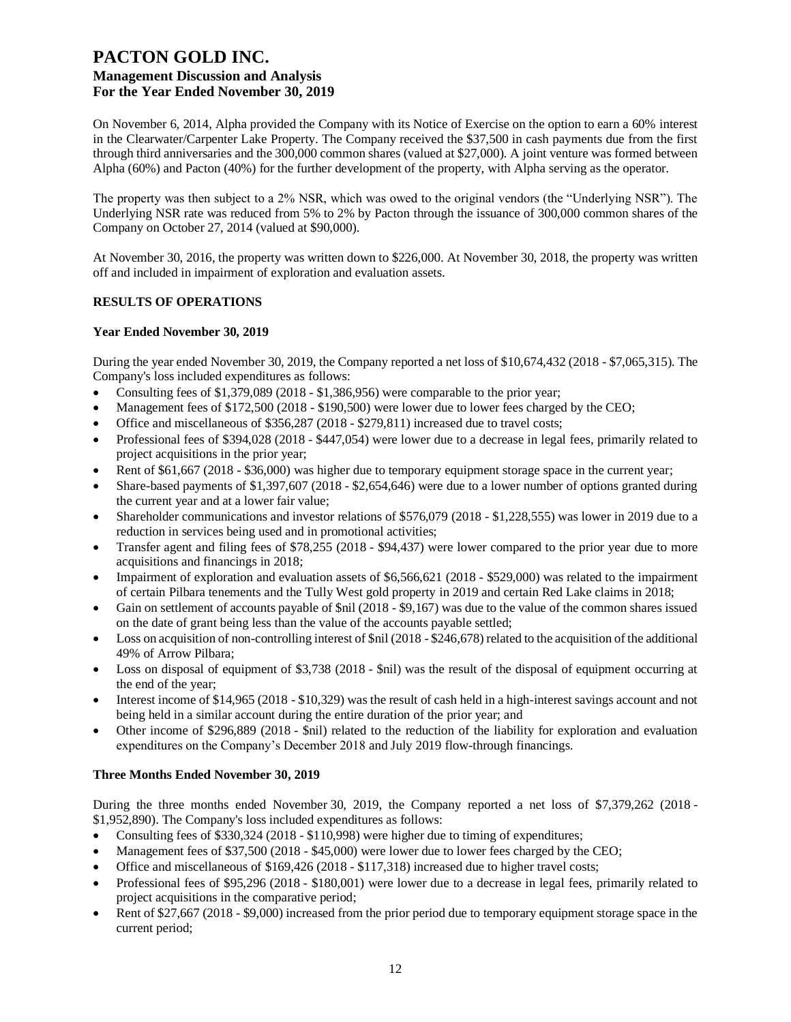On November 6, 2014, Alpha provided the Company with its Notice of Exercise on the option to earn a 60% interest in the Clearwater/Carpenter Lake Property. The Company received the \$37,500 in cash payments due from the first through third anniversaries and the 300,000 common shares (valued at \$27,000). A joint venture was formed between Alpha (60%) and Pacton (40%) for the further development of the property, with Alpha serving as the operator.

The property was then subject to a 2% NSR, which was owed to the original vendors (the "Underlying NSR"). The Underlying NSR rate was reduced from 5% to 2% by Pacton through the issuance of 300,000 common shares of the Company on October 27, 2014 (valued at \$90,000).

At November 30, 2016, the property was written down to \$226,000. At November 30, 2018, the property was written off and included in impairment of exploration and evaluation assets.

# **RESULTS OF OPERATIONS**

# **Year Ended November 30, 2019**

During the year ended November 30, 2019, the Company reported a net loss of \$10,674,432 (2018 - \$7,065,315). The Company's loss included expenditures as follows:

- Consulting fees of  $$1,379,089$  (2018  $$1,386,956$ ) were comparable to the prior year;
- Management fees of \$172,500 (2018 \$190,500) were lower due to lower fees charged by the CEO;
- Office and miscellaneous of \$356,287 (2018 \$279,811) increased due to travel costs;
- Professional fees of \$394,028 (2018 \$447,054) were lower due to a decrease in legal fees, primarily related to project acquisitions in the prior year;
- Rent of \$61,667 (2018 \$36,000) was higher due to temporary equipment storage space in the current year;
- Share-based payments of \$1,397,607 (2018 \$2,654,646) were due to a lower number of options granted during the current year and at a lower fair value;
- Shareholder communications and investor relations of \$576,079 (2018 \$1,228,555) was lower in 2019 due to a reduction in services being used and in promotional activities;
- Transfer agent and filing fees of \$78,255 (2018 \$94,437) were lower compared to the prior year due to more acquisitions and financings in 2018;
- Impairment of exploration and evaluation assets of \$6,566,621 (2018 \$529,000) was related to the impairment of certain Pilbara tenements and the Tully West gold property in 2019 and certain Red Lake claims in 2018;
- Gain on settlement of accounts payable of  $\sin(2018 \frac{6}{9}167)$  was due to the value of the common shares issued on the date of grant being less than the value of the accounts payable settled;
- Loss on acquisition of non-controlling interest of \$nil (2018 \$246,678) related to the acquisition of the additional 49% of Arrow Pilbara;
- Loss on disposal of equipment of \$3,738 (2018 \$nil) was the result of the disposal of equipment occurring at the end of the year;
- Interest income of \$14,965 (2018 \$10,329) was the result of cash held in a high-interest savings account and not being held in a similar account during the entire duration of the prior year; and
- Other income of \$296,889 (2018 \$nil) related to the reduction of the liability for exploration and evaluation expenditures on the Company's December 2018 and July 2019 flow-through financings.

# **Three Months Ended November 30, 2019**

During the three months ended November 30, 2019, the Company reported a net loss of \$7,379,262 (2018 - \$1,952,890). The Company's loss included expenditures as follows:

- Consulting fees of \$330,324 (2018 \$110,998) were higher due to timing of expenditures;
- Management fees of \$37,500 (2018 \$45,000) were lower due to lower fees charged by the CEO;
- Office and miscellaneous of \$169,426 (2018 \$117,318) increased due to higher travel costs;
- Professional fees of \$95,296 (2018 \$180,001) were lower due to a decrease in legal fees, primarily related to project acquisitions in the comparative period;
- Rent of \$27,667 (2018 \$9,000) increased from the prior period due to temporary equipment storage space in the current period;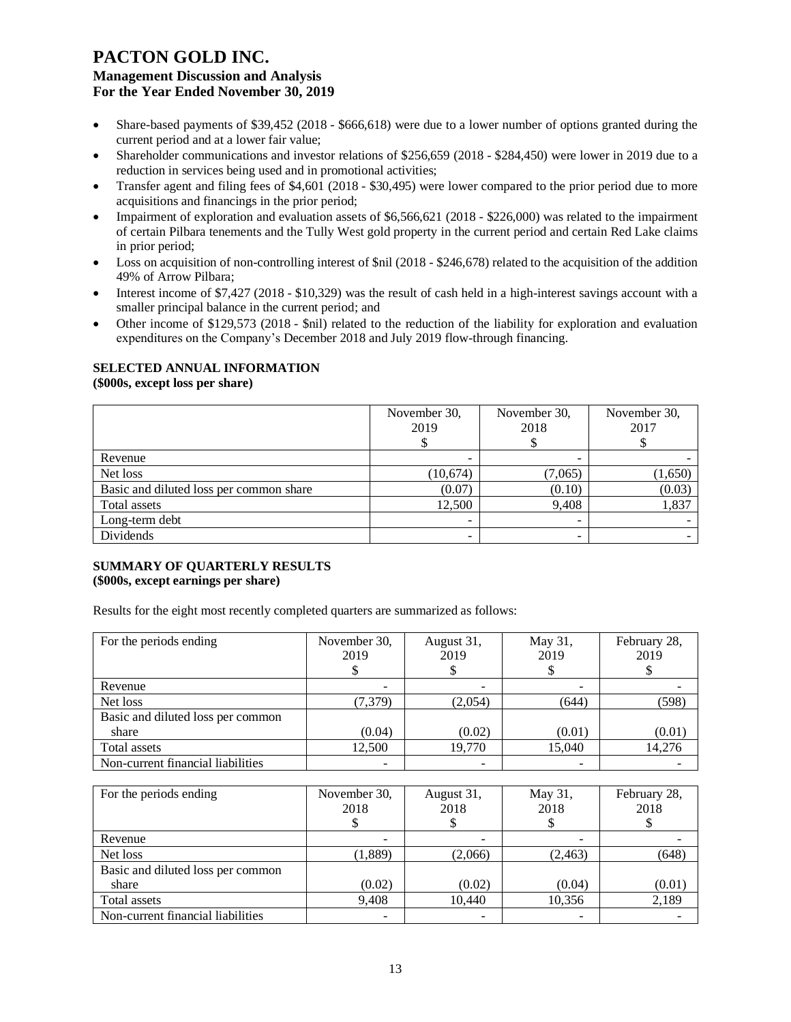- Share-based payments of \$39,452 (2018 \$666,618) were due to a lower number of options granted during the current period and at a lower fair value;
- Shareholder communications and investor relations of \$256,659 (2018 \$284,450) were lower in 2019 due to a reduction in services being used and in promotional activities;
- Transfer agent and filing fees of \$4,601 (2018 \$30,495) were lower compared to the prior period due to more acquisitions and financings in the prior period;
- Impairment of exploration and evaluation assets of \$6,566,621 (2018 \$226,000) was related to the impairment of certain Pilbara tenements and the Tully West gold property in the current period and certain Red Lake claims in prior period;
- Loss on acquisition of non-controlling interest of  $\text{snil}$  (2018 \$246,678) related to the acquisition of the addition 49% of Arrow Pilbara;
- Interest income of \$7,427 (2018 \$10,329) was the result of cash held in a high-interest savings account with a smaller principal balance in the current period; and
- Other income of \$129,573 (2018 \$nil) related to the reduction of the liability for exploration and evaluation expenditures on the Company's December 2018 and July 2019 flow-through financing.

# **SELECTED ANNUAL INFORMATION**

**(\$000s, except loss per share)**

|                                         | November 30, | November 30, | November 30, |
|-----------------------------------------|--------------|--------------|--------------|
|                                         | 2019         | 2018         | 2017         |
|                                         |              |              |              |
| Revenue                                 | -            |              |              |
| Net loss                                | (10,674)     | (7,065)      | (1,650)      |
| Basic and diluted loss per common share | (0.07)       | (0.10)       | (0.03)       |
| Total assets                            | 12,500       | 9,408        | 1,837        |
| Long-term debt                          | ۰            |              |              |
| Dividends                               | -            |              |              |

#### **SUMMARY OF QUARTERLY RESULTS (\$000s, except earnings per share)**

Results for the eight most recently completed quarters are summarized as follows:

| For the periods ending            | November 30,<br>2019 | August 31,<br>2019 | May 31,<br>2019 | February 28,<br>2019 |
|-----------------------------------|----------------------|--------------------|-----------------|----------------------|
|                                   |                      |                    |                 |                      |
| Revenue                           |                      |                    |                 |                      |
| Net loss                          | (7, 379)             | (2,054)            | (644)           | (598)                |
| Basic and diluted loss per common |                      |                    |                 |                      |
| share                             | (0.04)               | (0.02)             | (0.01)          | (0.01)               |
| Total assets                      | 12,500               | 19,770             | 15,040          | 14,276               |
| Non-current financial liabilities |                      |                    |                 |                      |

| For the periods ending            | November 30,<br>2018 | August 31,<br>2018 | May 31,<br>2018 | February 28,<br>2018 |
|-----------------------------------|----------------------|--------------------|-----------------|----------------------|
| Revenue                           |                      |                    |                 |                      |
| Net loss                          | (1,889)              | (2,066)            | (2, 463)        | (648)                |
| Basic and diluted loss per common |                      |                    |                 |                      |
| share                             | (0.02)               | (0.02)             | (0.04)          | (0.01)               |
| Total assets                      | 9,408                | 10,440             | 10,356          | 2,189                |
| Non-current financial liabilities |                      |                    |                 |                      |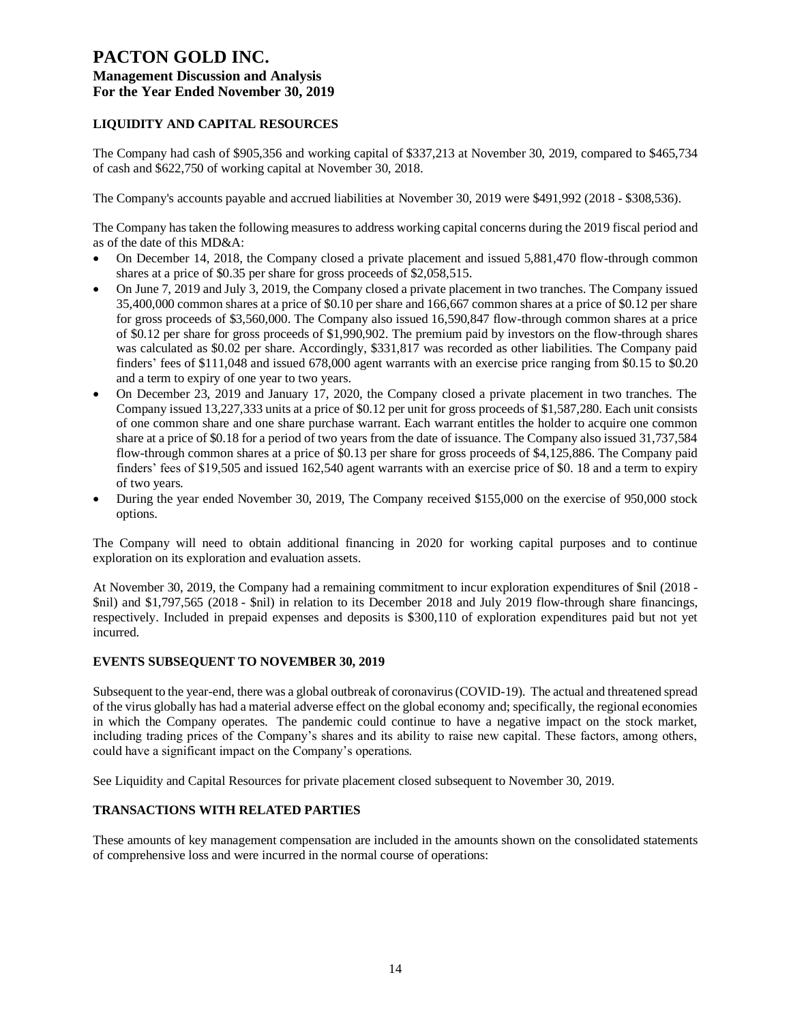# **LIQUIDITY AND CAPITAL RESOURCES**

The Company had cash of \$905,356 and working capital of \$337,213 at November 30, 2019, compared to \$465,734 of cash and \$622,750 of working capital at November 30, 2018.

The Company's accounts payable and accrued liabilities at November 30, 2019 were \$491,992 (2018 - \$308,536).

The Company has taken the following measures to address working capital concerns during the 2019 fiscal period and as of the date of this MD&A:

- On December 14, 2018, the Company closed a private placement and issued 5,881,470 flow-through common shares at a price of \$0.35 per share for gross proceeds of \$2,058,515.
- On June 7, 2019 and July 3, 2019, the Company closed a private placement in two tranches. The Company issued 35,400,000 common shares at a price of \$0.10 per share and 166,667 common shares at a price of \$0.12 per share for gross proceeds of \$3,560,000. The Company also issued 16,590,847 flow-through common shares at a price of \$0.12 per share for gross proceeds of \$1,990,902. The premium paid by investors on the flow-through shares was calculated as \$0.02 per share. Accordingly, \$331,817 was recorded as other liabilities. The Company paid finders' fees of \$111,048 and issued 678,000 agent warrants with an exercise price ranging from \$0.15 to \$0.20 and a term to expiry of one year to two years.
- On December 23, 2019 and January 17, 2020, the Company closed a private placement in two tranches. The Company issued 13,227,333 units at a price of \$0.12 per unit for gross proceeds of \$1,587,280. Each unit consists of one common share and one share purchase warrant. Each warrant entitles the holder to acquire one common share at a price of \$0.18 for a period of two years from the date of issuance. The Company also issued 31,737,584 flow-through common shares at a price of \$0.13 per share for gross proceeds of \$4,125,886. The Company paid finders' fees of \$19,505 and issued 162,540 agent warrants with an exercise price of \$0. 18 and a term to expiry of two years.
- During the year ended November 30, 2019, The Company received \$155,000 on the exercise of 950,000 stock options.

The Company will need to obtain additional financing in 2020 for working capital purposes and to continue exploration on its exploration and evaluation assets.

At November 30, 2019, the Company had a remaining commitment to incur exploration expenditures of \$nil (2018 - \$nil) and \$1,797,565 (2018 - \$nil) in relation to its December 2018 and July 2019 flow-through share financings, respectively. Included in prepaid expenses and deposits is \$300,110 of exploration expenditures paid but not yet incurred.

# **EVENTS SUBSEQUENT TO NOVEMBER 30, 2019**

Subsequent to the year-end, there was a global outbreak of coronavirus (COVID-19). The actual and threatened spread of the virus globally has had a material adverse effect on the global economy and; specifically, the regional economies in which the Company operates. The pandemic could continue to have a negative impact on the stock market, including trading prices of the Company's shares and its ability to raise new capital. These factors, among others, could have a significant impact on the Company's operations.

See Liquidity and Capital Resources for private placement closed subsequent to November 30, 2019.

#### **TRANSACTIONS WITH RELATED PARTIES**

These amounts of key management compensation are included in the amounts shown on the consolidated statements of comprehensive loss and were incurred in the normal course of operations: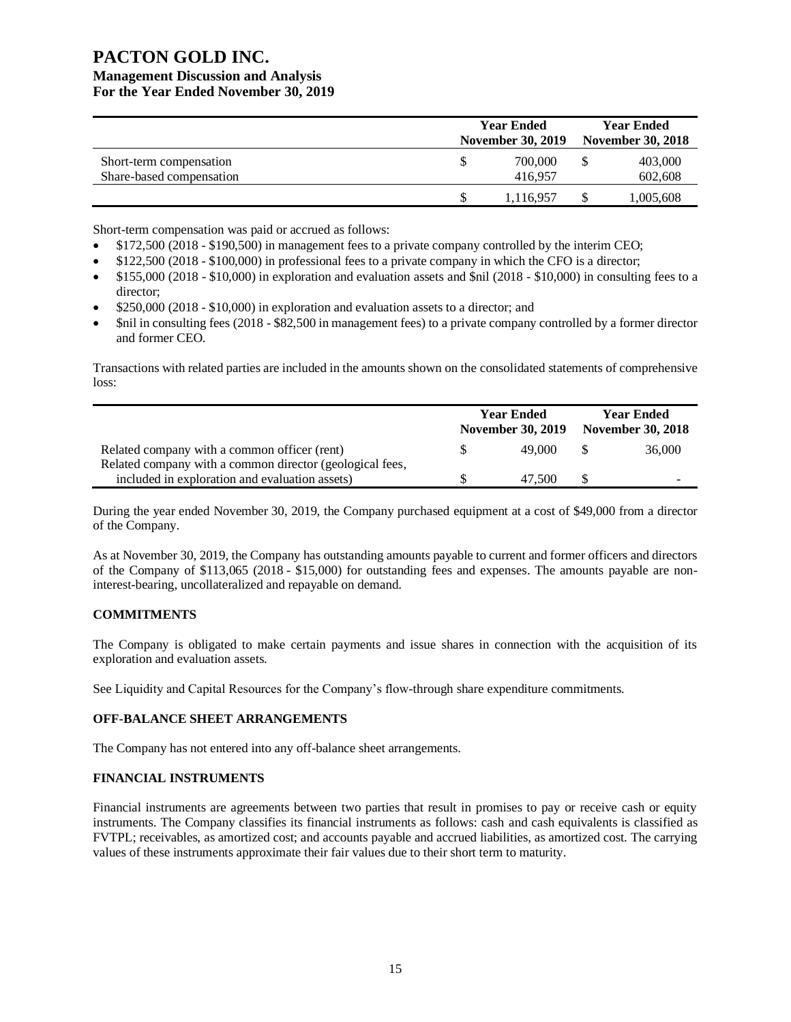# **PACTON GOLD INC.**

# **Management Discussion and Analysis For the Year Ended November 30, 2019**

|                          | <b>Year Ended</b><br><b>November 30, 2019</b> | <b>Year Ended</b><br><b>November 30, 2018</b> |  |
|--------------------------|-----------------------------------------------|-----------------------------------------------|--|
| Short-term compensation  | 700,000                                       | 403,000                                       |  |
| Share-based compensation | 416.957                                       | 602,608                                       |  |
|                          | 1,116,957                                     | 1,005,608                                     |  |

Short-term compensation was paid or accrued as follows:

- \$172,500 (2018 \$190,500) in management fees to a private company controlled by the interim CEO;
- \$122,500 (2018 \$100,000) in professional fees to a private company in which the CFO is a director;
- \$155,000 (2018 \$10,000) in exploration and evaluation assets and \$nil (2018 \$10,000) in consulting fees to a director;
- \$250,000 (2018 \$10,000) in exploration and evaluation assets to a director; and
- \$nil in consulting fees (2018 \$82,500 in management fees) to a private company controlled by a former director and former CEO.

Transactions with related parties are included in the amounts shown on the consolidated statements of comprehensive loss:

|                                                          |    | <b>Year Ended</b><br><b>November 30, 2019</b> | <b>Year Ended</b><br><b>November 30, 2018</b> |
|----------------------------------------------------------|----|-----------------------------------------------|-----------------------------------------------|
| Related company with a common officer (rent)             | S. | 49.000                                        | 36,000                                        |
| Related company with a common director (geological fees, |    |                                               |                                               |
| included in exploration and evaluation assets)           |    | 47.500                                        | -                                             |

During the year ended November 30, 2019, the Company purchased equipment at a cost of \$49,000 from a director of the Company.

As at November 30, 2019, the Company has outstanding amounts payable to current and former officers and directors of the Company of \$113,065 (2018 - \$15,000) for outstanding fees and expenses. The amounts payable are noninterest-bearing, uncollateralized and repayable on demand.

# **COMMITMENTS**

The Company is obligated to make certain payments and issue shares in connection with the acquisition of its exploration and evaluation assets.

See Liquidity and Capital Resources for the Company's flow-through share expenditure commitments.

# **OFF-BALANCE SHEET ARRANGEMENTS**

The Company has not entered into any off-balance sheet arrangements.

# **FINANCIAL INSTRUMENTS**

Financial instruments are agreements between two parties that result in promises to pay or receive cash or equity instruments. The Company classifies its financial instruments as follows: cash and cash equivalents is classified as FVTPL; receivables, as amortized cost; and accounts payable and accrued liabilities, as amortized cost. The carrying values of these instruments approximate their fair values due to their short term to maturity.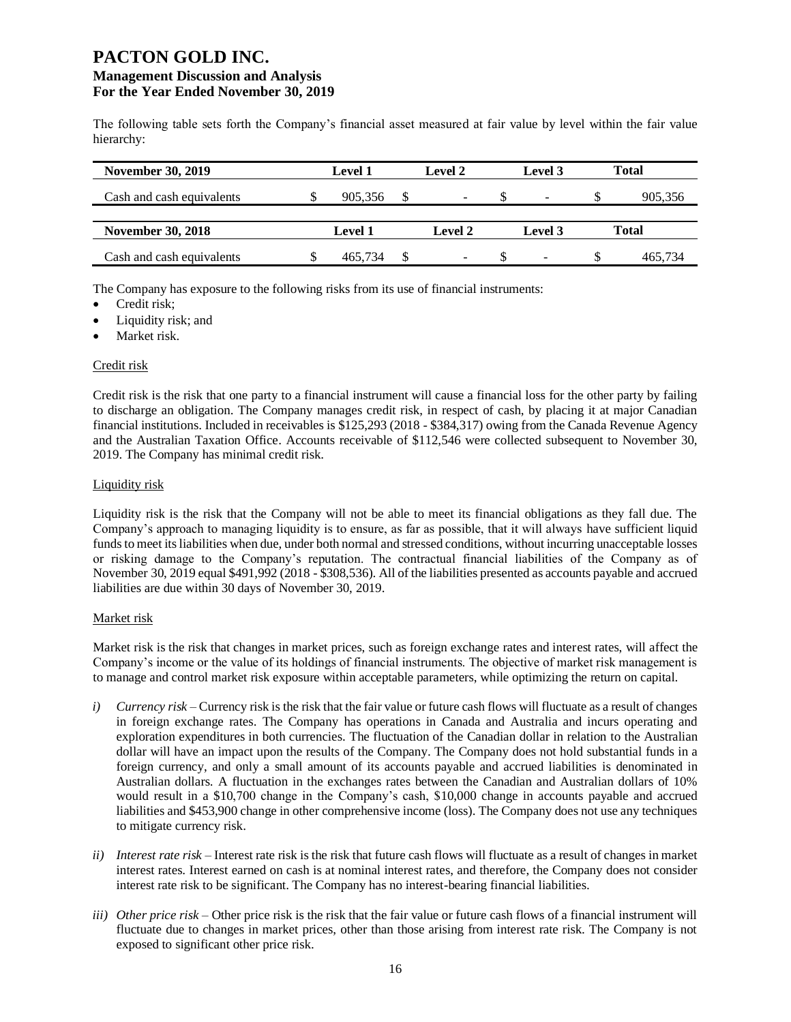The following table sets forth the Company's financial asset measured at fair value by level within the fair value hierarchy:

| <b>November 30, 2019</b>  | <b>Level 1</b> |     | <b>Level 2</b>           | Level 3                  |    | <b>Total</b> |
|---------------------------|----------------|-----|--------------------------|--------------------------|----|--------------|
| Cash and cash equivalents | 905,356        | \$. | $\overline{\phantom{a}}$ | ۰                        | S. | 905,356      |
| <b>November 30, 2018</b>  | <b>Level 1</b> |     | <b>Level 2</b>           | Level 3                  |    | Total        |
| Cash and cash equivalents | 465,734        |     | $\overline{\phantom{0}}$ | $\overline{\phantom{a}}$ | S  | 465.734      |

The Company has exposure to the following risks from its use of financial instruments:

- Credit risk;
- Liquidity risk; and
- Market risk.

# Credit risk

Credit risk is the risk that one party to a financial instrument will cause a financial loss for the other party by failing to discharge an obligation. The Company manages credit risk, in respect of cash, by placing it at major Canadian financial institutions. Included in receivables is \$125,293 (2018 - \$384,317) owing from the Canada Revenue Agency and the Australian Taxation Office. Accounts receivable of \$112,546 were collected subsequent to November 30, 2019. The Company has minimal credit risk.

#### Liquidity risk

Liquidity risk is the risk that the Company will not be able to meet its financial obligations as they fall due. The Company's approach to managing liquidity is to ensure, as far as possible, that it will always have sufficient liquid funds to meet its liabilities when due, under both normal and stressed conditions, without incurring unacceptable losses or risking damage to the Company's reputation. The contractual financial liabilities of the Company as of November 30, 2019 equal \$491,992 (2018 - \$308,536). All of the liabilities presented as accounts payable and accrued liabilities are due within 30 days of November 30, 2019.

# Market risk

Market risk is the risk that changes in market prices, such as foreign exchange rates and interest rates, will affect the Company's income or the value of its holdings of financial instruments. The objective of market risk management is to manage and control market risk exposure within acceptable parameters, while optimizing the return on capital.

- *i) Currency risk*  Currency risk is the risk that the fair value or future cash flows will fluctuate as a result of changes in foreign exchange rates. The Company has operations in Canada and Australia and incurs operating and exploration expenditures in both currencies. The fluctuation of the Canadian dollar in relation to the Australian dollar will have an impact upon the results of the Company. The Company does not hold substantial funds in a foreign currency, and only a small amount of its accounts payable and accrued liabilities is denominated in Australian dollars. A fluctuation in the exchanges rates between the Canadian and Australian dollars of 10% would result in a \$10,700 change in the Company's cash, \$10,000 change in accounts payable and accrued liabilities and \$453,900 change in other comprehensive income (loss). The Company does not use any techniques to mitigate currency risk.
- *ii) Interest rate risk –* Interest rate risk is the risk that future cash flows will fluctuate as a result of changes in market interest rates. Interest earned on cash is at nominal interest rates, and therefore, the Company does not consider interest rate risk to be significant. The Company has no interest-bearing financial liabilities.
- *iii) Other price risk –* Other price risk is the risk that the fair value or future cash flows of a financial instrument will fluctuate due to changes in market prices, other than those arising from interest rate risk. The Company is not exposed to significant other price risk.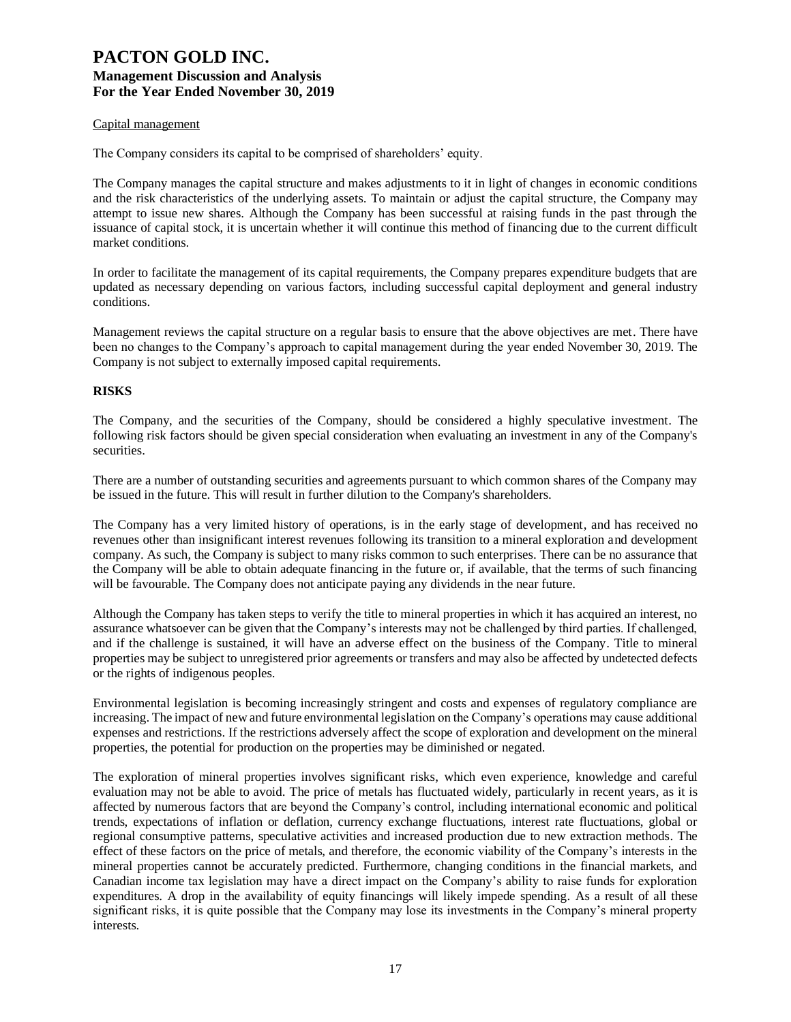#### Capital management

The Company considers its capital to be comprised of shareholders' equity.

The Company manages the capital structure and makes adjustments to it in light of changes in economic conditions and the risk characteristics of the underlying assets. To maintain or adjust the capital structure, the Company may attempt to issue new shares. Although the Company has been successful at raising funds in the past through the issuance of capital stock, it is uncertain whether it will continue this method of financing due to the current difficult market conditions.

In order to facilitate the management of its capital requirements, the Company prepares expenditure budgets that are updated as necessary depending on various factors, including successful capital deployment and general industry conditions.

Management reviews the capital structure on a regular basis to ensure that the above objectives are met. There have been no changes to the Company's approach to capital management during the year ended November 30, 2019. The Company is not subject to externally imposed capital requirements.

#### **RISKS**

The Company, and the securities of the Company, should be considered a highly speculative investment. The following risk factors should be given special consideration when evaluating an investment in any of the Company's securities.

There are a number of outstanding securities and agreements pursuant to which common shares of the Company may be issued in the future. This will result in further dilution to the Company's shareholders.

The Company has a very limited history of operations, is in the early stage of development, and has received no revenues other than insignificant interest revenues following its transition to a mineral exploration and development company. As such, the Company is subject to many risks common to such enterprises. There can be no assurance that the Company will be able to obtain adequate financing in the future or, if available, that the terms of such financing will be favourable. The Company does not anticipate paying any dividends in the near future.

Although the Company has taken steps to verify the title to mineral properties in which it has acquired an interest, no assurance whatsoever can be given that the Company's interests may not be challenged by third parties. If challenged, and if the challenge is sustained, it will have an adverse effect on the business of the Company. Title to mineral properties may be subject to unregistered prior agreements or transfers and may also be affected by undetected defects or the rights of indigenous peoples.

Environmental legislation is becoming increasingly stringent and costs and expenses of regulatory compliance are increasing. The impact of new and future environmental legislation on the Company's operations may cause additional expenses and restrictions. If the restrictions adversely affect the scope of exploration and development on the mineral properties, the potential for production on the properties may be diminished or negated.

The exploration of mineral properties involves significant risks, which even experience, knowledge and careful evaluation may not be able to avoid. The price of metals has fluctuated widely, particularly in recent years, as it is affected by numerous factors that are beyond the Company's control, including international economic and political trends, expectations of inflation or deflation, currency exchange fluctuations, interest rate fluctuations, global or regional consumptive patterns, speculative activities and increased production due to new extraction methods. The effect of these factors on the price of metals, and therefore, the economic viability of the Company's interests in the mineral properties cannot be accurately predicted. Furthermore, changing conditions in the financial markets, and Canadian income tax legislation may have a direct impact on the Company's ability to raise funds for exploration expenditures. A drop in the availability of equity financings will likely impede spending. As a result of all these significant risks, it is quite possible that the Company may lose its investments in the Company's mineral property interests.